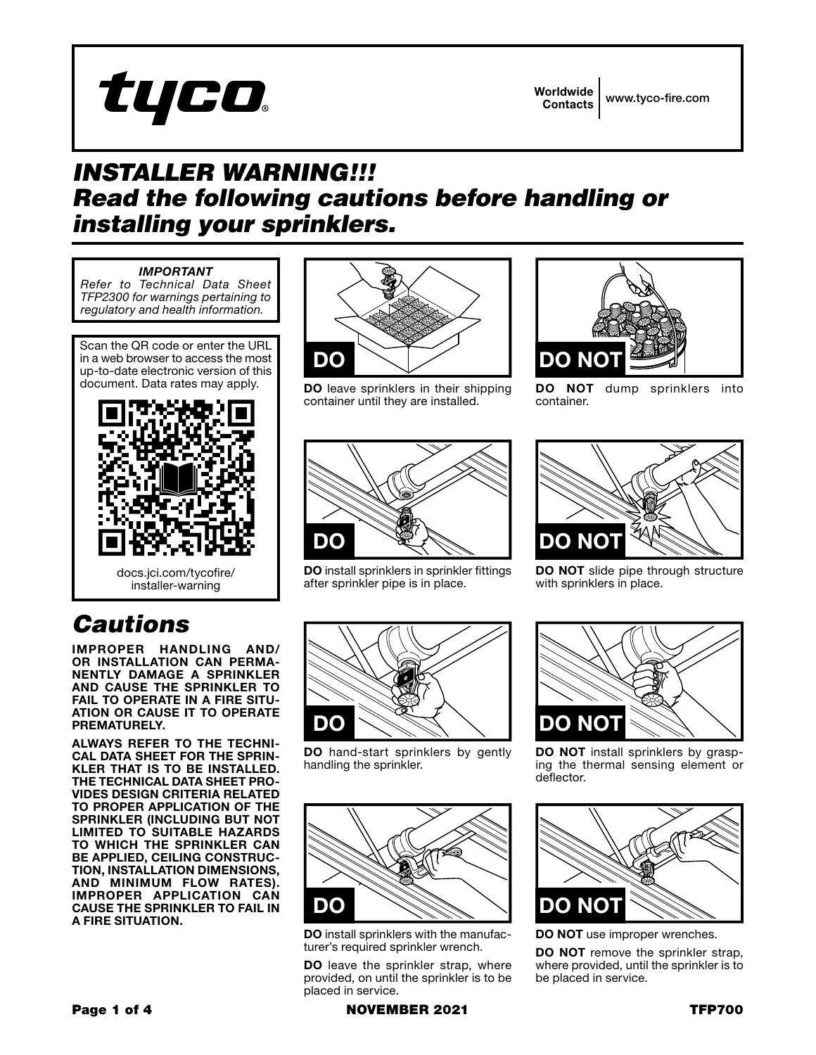

Worldwide Contacts www.tyco-fire.com

## *INSTALLER WARNING!!! Read the following cautions before handling or installing your sprinklers.*

## *IMPORTANT*

*Refer to Technical Data Sheet TFP2300 for warnings pertaining to regulatory and health information.*

Scan the QR code or enter the URL in a web browser to access the most up-to-date electronic version of this document. Data rates may apply.



## *Cautions*

IMPROPER HANDLING AND/ OR INSTALLATION CAN PERMA-NENTLY DAMAGE A SPRINKLER AND CAUSE THE SPRINKLER TO FAIL TO OPERATE IN A FIRE SITU-ATION OR CAUSE IT TO OPERATE PREMATURELY.

ALWAYS REFER TO THE TECHNI-CAL DATA SHEET FOR THE SPRIN-KLER THAT IS TO BE INSTALLED. THE TECHNICAL DATA SHEET PRO-VIDES DESIGN CRITERIA RELATED TO PROPER APPLICATION OF THE SPRINKLER (INCLUDING BUT NOT LIMITED TO SUITABLE HAZARDS TO WHICH THE SPRINKLER CAN BE APPLIED, CEILING CONSTRUC-TION, INSTALLATION DIMENSIONS, AND MINIMUM FLOW RATES). IMPROPER APPLICATION CAN CAUSE THE SPRINKLER TO FAIL IN A FIRE SITUATION.



DO leave sprinklers in their shipping container until they are installed.



DO install sprinklers in sprinkler fittings after sprinkler pipe is in place.



DO NOT dump sprinklers into container.



DO NOT slide pipe through structure with sprinklers in place.



DO hand-start sprinklers by gently handling the sprinkler.



DO install sprinklers with the manufacturer's required sprinkler wrench.

DO leave the sprinkler strap, where provided, on until the sprinkler is to be placed in service.



DO NOT install sprinklers by grasping the thermal sensing element or deflector.



DO NOT use improper wrenches.

DO NOT remove the sprinkler strap, where provided, until the sprinkler is to be placed in service.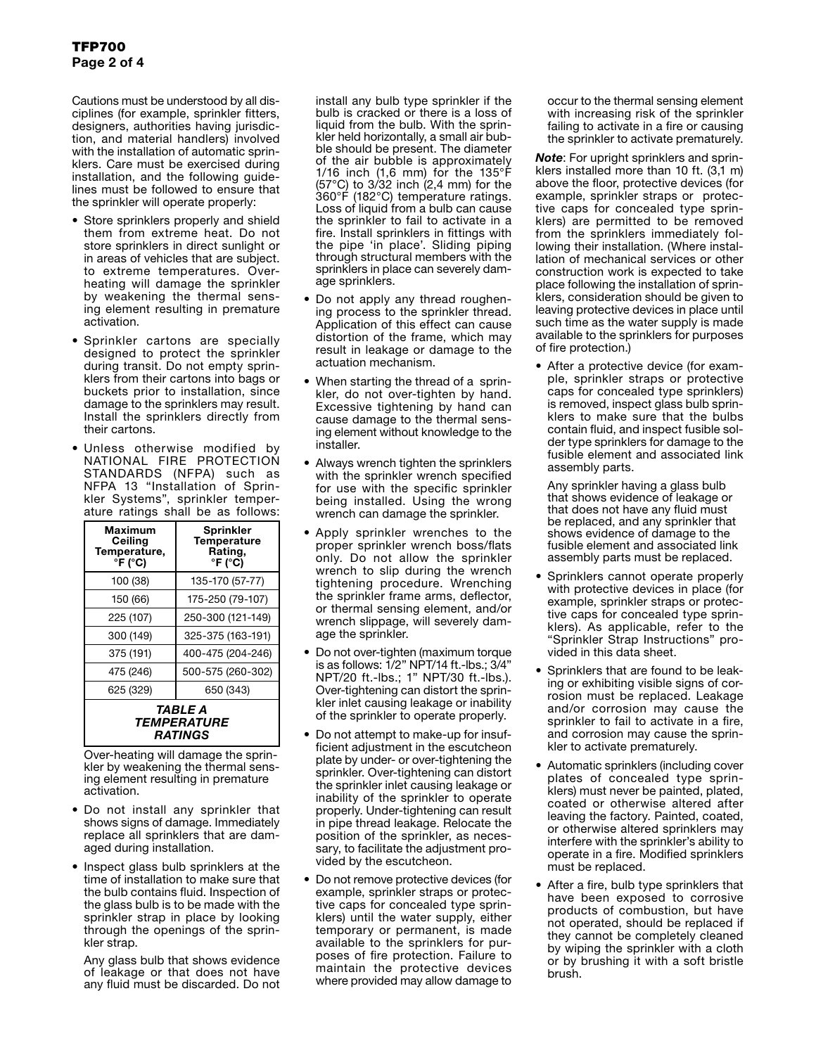Cautions must be understood by all disciplines (for example, sprinkler fitters, designers, authorities having jurisdiction, and material handlers) involved with the installation of automatic sprinklers. Care must be exercised during installation, and the following guidelines must be followed to ensure that the sprinkler will operate properly:

- Store sprinklers properly and shield them from extreme heat. Do not store sprinklers in direct sunlight or in areas of vehicles that are subject. to extreme temperatures. Overheating will damage the sprinkler by weakening the thermal sensing element resulting in premature activation.
- Sprinkler cartons are specially designed to protect the sprinkler during transit. Do not empty sprinklers from their cartons into bags or buckets prior to installation, since damage to the sprinklers may result. Install the sprinklers directly from their cartons.
- Unless otherwise modified by NATIONAL FIRE PROTECTION STANDARDS (NFPA) such as NFPA 13 "Installation of Sprinkler Systems", sprinkler temperature ratings shall be as follows:

| Maximum<br>Ceiling<br>Temperature,<br>$\mathbf{P}$ F ( $\mathbf{C}$ C) | <b>Sprinkler</b><br><b>Temperature</b><br>Rating,<br>$\degree$ F ( $\degree$ C) |
|------------------------------------------------------------------------|---------------------------------------------------------------------------------|
| 100 (38)                                                               | 135-170 (57-77)                                                                 |
| 150 (66)                                                               | 175-250 (79-107)                                                                |
| 225 (107)                                                              | 250-300 (121-149)                                                               |
| 300 (149)                                                              | 325-375 (163-191)                                                               |
| 375 (191)                                                              | 400-475 (204-246)                                                               |
| 475 (246)                                                              | 500-575 (260-302)                                                               |
| 625 (329)                                                              | 650 (343)                                                                       |
| TABLE A<br><i><b>TEMPERATURE</b></i><br><i><b>RATINGS</b></i>          |                                                                                 |

Over-heating will damage the sprinkler by weakening the thermal sensing element resulting in premature activation.

- Do not install any sprinkler that shows signs of damage. Immediately replace all sprinklers that are damaged during installation.
- Inspect glass bulb sprinklers at the time of installation to make sure that the bulb contains fluid. Inspection of the glass bulb is to be made with the sprinkler strap in place by looking through the openings of the sprinkler strap.

Any glass bulb that shows evidence of leakage or that does not have any fluid must be discarded. Do not install any bulb type sprinkler if the bulb is cracked or there is a loss of liquid from the bulb. With the sprinkler held horizontally, a small air bubble should be present. The diameter of the air bubble is approximately 1/16 inch (1,6 mm) for the 135 $\degree$ F (57°C) to 3/32 inch (2,4 mm) for the 360°F (182°C) temperature ratings. Loss of liquid from a bulb can cause the sprinkler to fail to activate in a fire. Install sprinklers in fittings with the pipe 'in place'. Sliding piping through structural members with the sprinklers in place can severely damage sprinklers.

- Do not apply any thread roughening process to the sprinkler thread. Application of this effect can cause distortion of the frame, which may result in leakage or damage to the actuation mechanism.
- When starting the thread of a sprinkler, do not over-tighten by hand. Excessive tightening by hand can cause damage to the thermal sensing element without knowledge to the installer.
- Always wrench tighten the sprinklers with the sprinkler wrench specified for use with the specific sprinkler being installed. Using the wrong wrench can damage the sprinkler.
- Apply sprinkler wrenches to the proper sprinkler wrench boss/flats only. Do not allow the sprinkler wrench to slip during the wrench tightening procedure. Wrenching the sprinkler frame arms, deflector, or thermal sensing element, and/or wrench slippage, will severely damage the sprinkler.
- Do not over-tighten (maximum torque is as follows:  $1/2$ " NPT/14 ft.-lbs.;  $3/4$ " NPT/20 ft.-lbs.; 1" NPT/30 ft.-lbs.). Over-tightening can distort the sprinkler inlet causing leakage or inability of the sprinkler to operate properly.
- Do not attempt to make-up for insufficient adjustment in the escutcheon plate by under- or over-tightening the sprinkler. Over-tightening can distort the sprinkler inlet causing leakage or inability of the sprinkler to operate properly. Under-tightening can result in pipe thread leakage. Relocate the position of the sprinkler, as necessary, to facilitate the adjustment provided by the escutcheon.
- Do not remove protective devices (for example, sprinkler straps or protective caps for concealed type sprinklers) until the water supply, either temporary or permanent, is made available to the sprinklers for purposes of fire protection. Failure to maintain the protective devices where provided may allow damage to

occur to the thermal sensing element with increasing risk of the sprinkler failing to activate in a fire or causing the sprinkler to activate prematurely.

*Note*: For upright sprinklers and sprinklers installed more than 10 ft. (3,1 m) above the floor, protective devices (for example, sprinkler straps or protective caps for concealed type sprinklers) are permitted to be removed from the sprinklers immediately following their installation. (Where installation of mechanical services or other construction work is expected to take place following the installation of sprinklers, consideration should be given to leaving protective devices in place until such time as the water supply is made available to the sprinklers for purposes of fire protection.)

• After a protective device (for example, sprinkler straps or protective caps for concealed type sprinklers) is removed, inspect glass bulb sprinklers to make sure that the bulbs contain fluid, and inspect fusible solder type sprinklers for damage to the fusible element and associated link assembly parts.

Any sprinkler having a glass bulb that shows evidence of leakage or that does not have any fluid must be replaced, and any sprinkler that shows evidence of damage to the fusible element and associated link assembly parts must be replaced.

- Sprinklers cannot operate properly with protective devices in place (for example, sprinkler straps or protective caps for concealed type sprinklers). As applicable, refer to the "Sprinkler Strap Instructions" provided in this data sheet.
- Sprinklers that are found to be leaking or exhibiting visible signs of corrosion must be replaced. Leakage and/or corrosion may cause the sprinkler to fail to activate in a fire, and corrosion may cause the sprinkler to activate prematurely.
- Automatic sprinklers (including cover plates of concealed type sprinklers) must never be painted, plated, coated or otherwise altered after leaving the factory. Painted, coated, or otherwise altered sprinklers may interfere with the sprinkler's ability to operate in a fire. Modified sprinklers must be replaced.
- After a fire, bulb type sprinklers that have been exposed to corrosive products of combustion, but have not operated, should be replaced if they cannot be completely cleaned by wiping the sprinkler with a cloth or by brushing it with a soft bristle brush.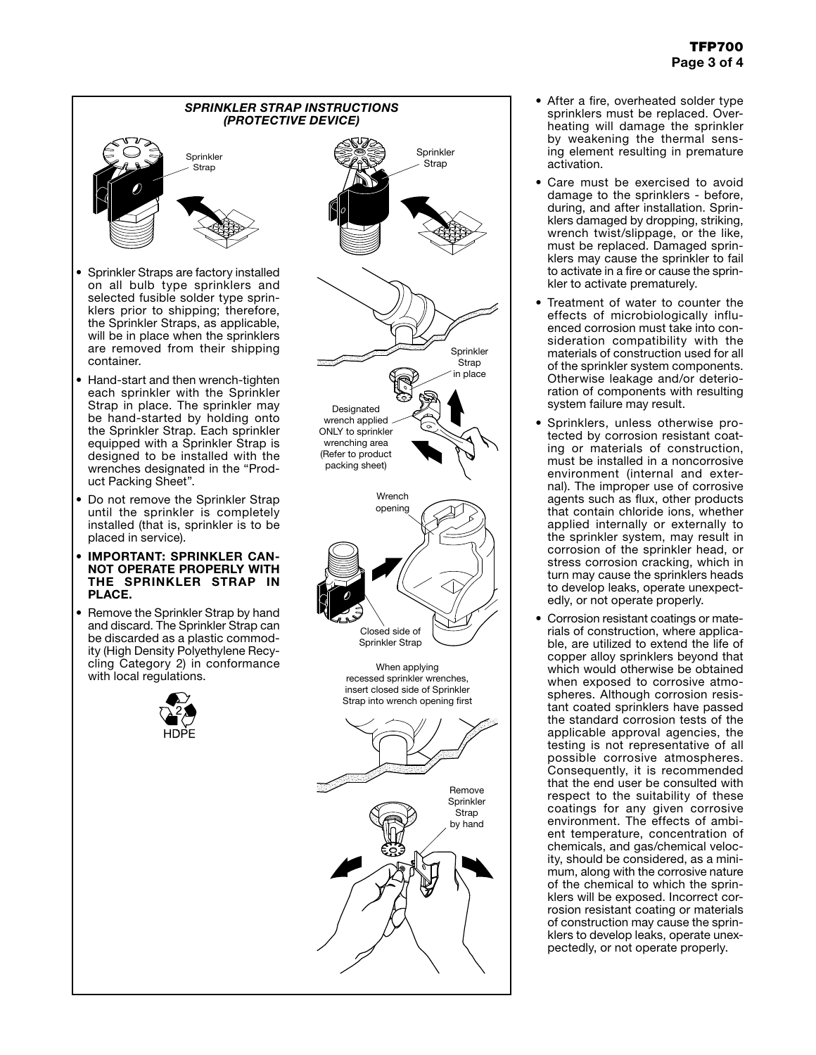

- After a fire, overheated solder type sprinklers must be replaced. Overheating will damage the sprinkler by weakening the thermal sensing element resulting in premature activation.
- Care must be exercised to avoid damage to the sprinklers - before, during, and after installation. Sprinklers damaged by dropping, striking, wrench twist/slippage, or the like, must be replaced. Damaged sprinklers may cause the sprinkler to fail to activate in a fire or cause the sprinkler to activate prematurely.
- Treatment of water to counter the effects of microbiologically influenced corrosion must take into consideration compatibility with the materials of construction used for all of the sprinkler system components. Otherwise leakage and/or deterioration of components with resulting system failure may result.
- Sprinklers, unless otherwise protected by corrosion resistant coating or materials of construction, must be installed in a noncorrosive environment (internal and external). The improper use of corrosive agents such as flux, other products that contain chloride ions, whether applied internally or externally to the sprinkler system, may result in corrosion of the sprinkler head, or stress corrosion cracking, which in turn may cause the sprinklers heads to develop leaks, operate unexpectedly, or not operate properly.
- Corrosion resistant coatings or materials of construction, where applicable, are utilized to extend the life of copper alloy sprinklers beyond that which would otherwise be obtained when exposed to corrosive atmospheres. Although corrosion resistant coated sprinklers have passed the standard corrosion tests of the applicable approval agencies, the testing is not representative of all possible corrosive atmospheres. Consequently, it is recommended that the end user be consulted with respect to the suitability of these coatings for any given corrosive environment. The effects of ambient temperature, concentration of chemicals, and gas/chemical velocity, should be considered, as a minimum, along with the corrosive nature of the chemical to which the sprinklers will be exposed. Incorrect corrosion resistant coating or materials of construction may cause the sprinklers to develop leaks, operate unexpectedly, or not operate properly.